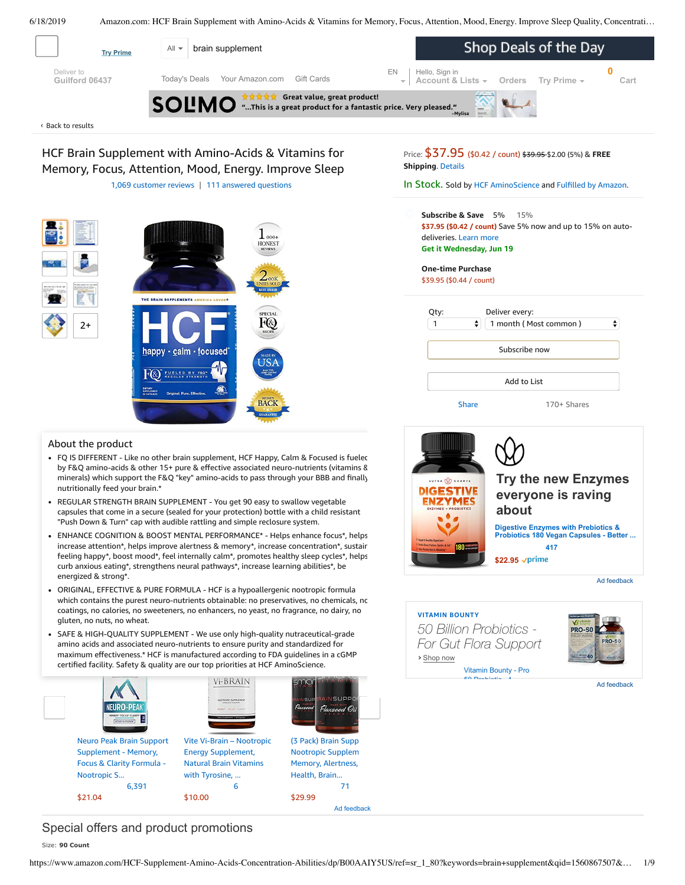

<span id="page-0-0"></span>

[Share](mailto:?body=I%20want%20to%20recommend%20this%20product%20at%20Amazon.com%0A%0AHCF%20Brain%20Supplement%20with%20Amino-Acids%20%26%20Vitamins%20for%20Memory%2C%20Focus%2C%20Attention%2C%20Mood%2C%20Energy.%20Improve%20Sleep%20Quality%2C%20Concentration%20%26%20Learning%20Abilities.%20FQ%20is%20Different.%20(90%20Count)%0Aby%20HCF%20AminoScience%0ALearn%20more%3A%20https%3A%2F%2Fwww.amazon.com%2Fdp%2FB00AAIY5US%2Fref%3Dcm_sw_em_r_mt_dp_U_s4rcDbKRAMF2H&subject=I%20want%20to%20recommend%20this%20product%20on%20Amazon) 170+ Shares

Add to List

**[Try the new Enzymes](https://aax-us-east.amazon-adsystem.com/x/c/QlZ7UAFUxn2OnxZ9F9h8BcUAAAFra514_wEAAAH0AW6vtnM/https://www.amazon.com/dp/B071F436PV?aaxitk=UCcVrlOWlBjfAH31-CFkQw) everyone is raving**

Digestive Enzymes with Prebiotics &<br>Probiotics 180 Vegan Capsules - Better ... **[417](https://aax-us-east.amazon-adsystem.com/x/c/QlZ7UAFUxn2OnxZ9F9h8BcUAAAFra514_wEAAAH0AW6vtnM/https://www.amazon.com/dp/B071F436PV?aaxitk=UCcVrlOWlBjfAH31-CFkQw#customerReviews)**

Ad feedback

Ad feedback

**PRO-50** 

**\$22.95**

**›** Shop now

**VITAMIN BOUNTY**

NUTRA O CHANPS **DIGESTIVE /MES** 

*50 Billion Probiotics - For Gut Flora Support*

> Vitamin Bounty - Pro 50 Probiotic 1

**about**

### About the product

• FQ IS DIFFERENT - Like no other brain supplement, HCF Happy, Calm & Focused is fuelec by F&Q amino-acids & other 15+ pure & effective associated neuro-nutrients (vitamins & minerals) which support the F&Q "key" amino-acids to pass through your BBB and finally nutritionally feed your brain.\*

**BACE** 

- REGULAR STRENGTH BRAIN SUPPLEMENT You get 90 easy to swallow vegetable capsules that come in a secure (sealed for your protection) bottle with a child resistant "Push Down & Turn" cap with audible rattling and simple reclosure system.
- ENHANCE COGNITION & BOOST MENTAL PERFORMANCE\* Helps enhance focus\*, helps increase attention\*, helps improve alertness & memory\*, increase concentration\*, sustair feeling happy\*, boost mood\*, feel internally calm\*, promotes healthy sleep cycles\*, helps curb anxious eating\*, [strengthens](https://www.amazon.com/gp/redirect.html/ref=amb_link_1?_encoding=UTF8&location=https%3A%2F%2Fwww.amazon.com%2Fstores%2Fpage%2F5C6C0A16-CE60-4998-B799-A746AE18E19B%3Fchannel%3Dproduct_alert_v1&source=standards&token=725A568E064D46CFD215073B2EAF8C86121FB501&pf_rd_m=ATVPDKIKX0DER&pf_rd_s=product-alert&pf_rd_r=KBRQAKMAFT20HKA6E8AD&pf_rd_r=KBRQAKMAFT20HKA6E8AD&pf_rd_t=201&pf_rd_p=5ccb7e8b-1cdb-4056-8a8c-bdea3462f1a9&pf_rd_p=5ccb7e8b-1cdb-4056-8a8c-bdea3462f1a9&pf_rd_i=B00AAIY5US) neural pathways\*, increase learning abilities\*, be energized & strong\*.
- gluten, no nuts, no wheat. This is it is it is in this item Page 1 of 231 of 231 of 231 of 231 of 231 of 231 of 231 of 231 of 231 of 231 of 231 of 231 of 231 of 231 of 231 of 231 of 231 of 231 of 231 of 231 of 231 of 231 o ORIGINAL, EFFECTIVE & PURE FORMULA - HCF is a hypoallergenic nootropic formula which contains the purest neuro-nutrients obtainable: no preservatives, no chemicals, nc coatings, no calories, no sweeteners, no enhancers, no yeast, no fragrance, no dairy, no
- SAFE & HIGH-QUALITY SUPPLEMENT We use only high-quality nutraceutical-grade amino acids and associated neuro-nutrients to ensure purity and s[tandardized](https://www.amazon.com/gp/slredirect/picassoRedirect.html/ref=sspa_dk_detail_2?ie=UTF8&adId=A03790228LIWPS5DQRYX&qualifier=1560878611&id=8043406098223897&widgetName=sp_detail&url=%2Fdp%2FB07GL5Q9LG%2Fref%3Dsspa_dk_detail_2%3Fpsc%3D1%26pd_rd_i%3DB07GL5Q9LG%26pd_rd_w%3DSenBJ%26pf_rd_p%3D8a8f3917-7900-4ce8-ad90-adf0d53c0985%26pd_rd_wg%3DWl8df%26pf_rd_r%3DKBRQAKMAFT20HKA6E8AD%26pd_rd_r%3Dcafce9f6-91ed-11e9-aafc-51bf7a346517) for maximum [effectiveness.\\*](https://www.amazon.com/gp/slredirect/picassoRedirect.html/ref=sspa_dk_detail_0?ie=UTF8&adId=A0018678VNJVKLELGXUS&qualifier=1560878611&id=8043406098223897&widgetName=sp_detail&url=%2Fdp%2FB0157EJZGI%2Fref%3Dsspa_dk_detail_0%3Fpsc%3D1%26pd_rd_i%3DB0157EJZGI%26pd_rd_w%3DSenBJ%26pf_rd_p%3D8a8f3917-7900-4ce8-ad90-adf0d53c0985%26pd_rd_wg%3DWl8df%26pf_rd_r%3DKBRQAKMAFT20HKA6E8AD%26pd_rd_r%3Dcafce9f6-91ed-11e9-aafc-51bf7a346517) HCF is manufactured according to FDA guidelines in a cGMP certified facility. Safety & quality are our top priorities at HCF AminoScience.



## Special offers and product promotions

Size: **90 Count**

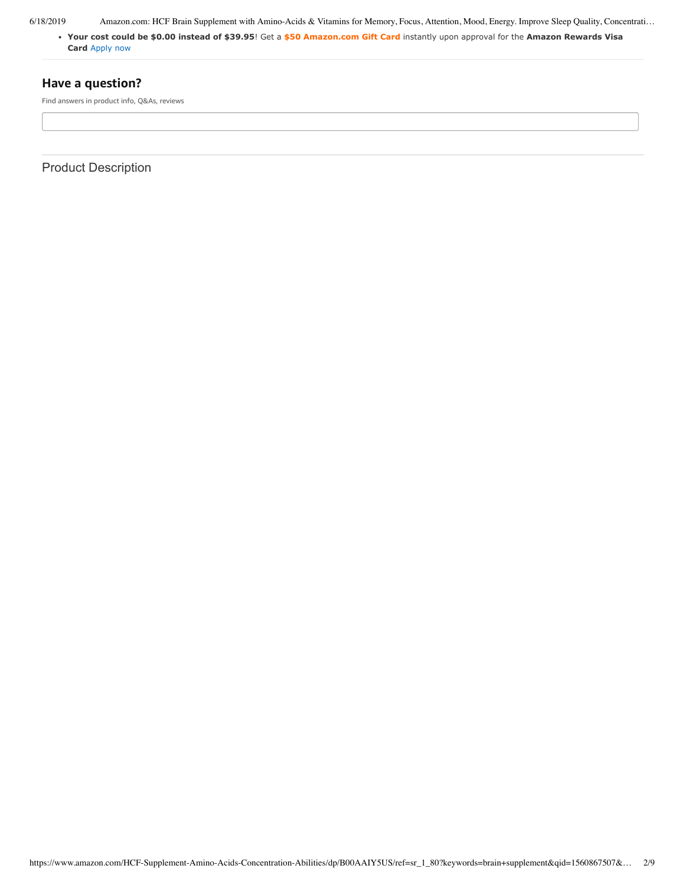**[Your cost could be \\$0.00 instead of \\$39.95](https://www.amazon.com/gp/cobrandcard/marketing.html?pr=con321&inc=50gcUnrec&ts=6h3obed1sxlp73gnje2t46s7jjihuoq&dasin=B00AAIY5US&plattr=math&place=detailpage&imp=51d2d858-5b36-42ed-b953-cd8017254f60)**! Get a **\$50 Amazon.com Gift Card** instantly upon approval for the **Amazon Rewards Visa Card** Apply now

### **Have a question?**

Find answers in product info, Q&As, reviews

Product Description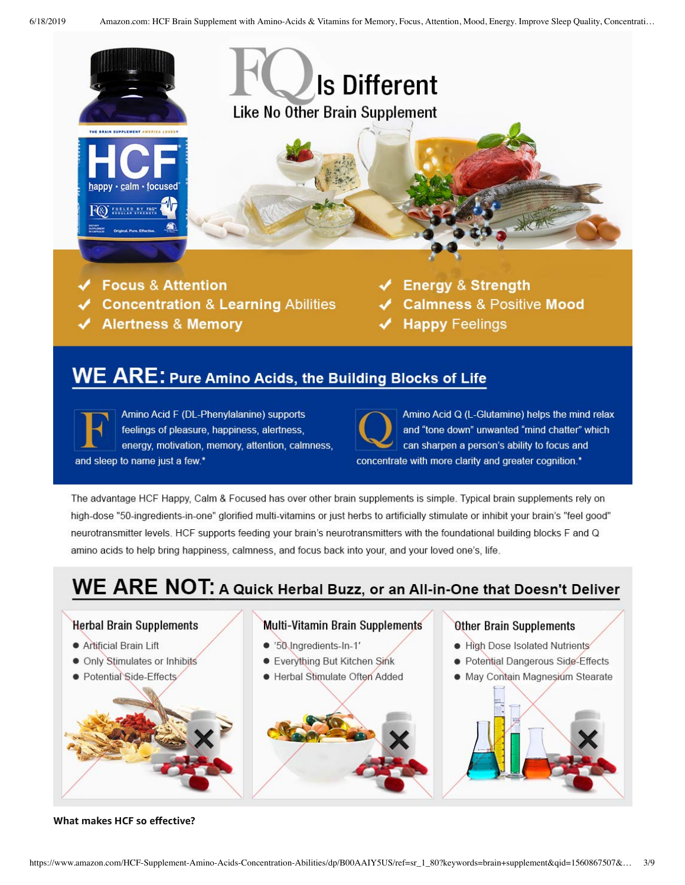

**Focus & Attention** 

- **Concentration & Learning Abilities**
- **Alertness & Memory**
- **Energy & Strength**
- **Calmness & Positive Mood**
- **Happy Feelings**

## WE ARE: Pure Amino Acids, the Building Blocks of Life

Amino Acid F (DL-Phenylalanine) supports feelings of pleasure, happiness, alertness, energy, motivation, memory, attention, calmness, and sleep to name just a few.\*

Amino Acid Q (L-Glutamine) helps the mind relax and "tone down" unwanted "mind chatter" which can sharpen a person's ability to focus and concentrate with more clarity and greater cognition.\*

The advantage HCF Happy, Calm & Focused has over other brain supplements is simple. Typical brain supplements rely on high-dose "50-ingredients-in-one" glorified multi-vitamins or just herbs to artificially stimulate or inhibit your brain's "feel good" neurotransmitter levels. HCF supports feeding your brain's neurotransmitters with the foundational building blocks F and Q amino acids to help bring happiness, calmness, and focus back into your, and your loved one's, life.

# WE ARE NOT: A Quick Herbal Buzz, or an All-in-One that Doesn't Deliver



**What makes HCF so effective?**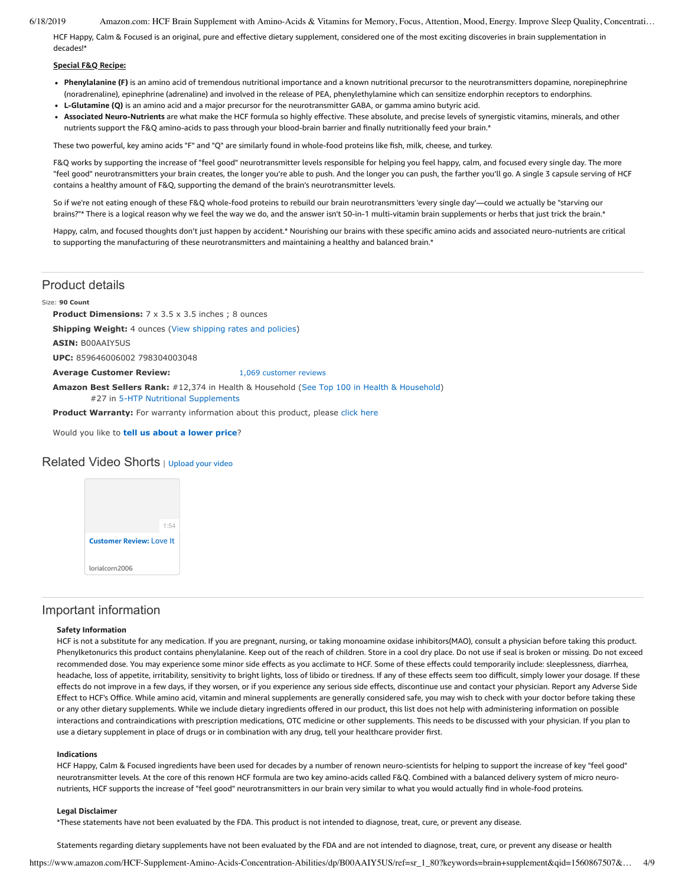HCF Happy, Calm & Focused is an original, pure and effective dietary supplement, considered one of the most exciting discoveries in brain supplementation in decades!\*

### **Special F&Q Recipe:**

- **Phenylalanine (F)** is an amino acid of tremendous nutritional importance and a known nutritional precursor to the neurotransmitters dopamine, norepinephrine (noradrenaline), epinephrine (adrenaline) and involved in the release of PEA, phenylethylamine which can sensitize endorphin receptors to endorphins.
- **L-Glutamine (Q)** is an amino acid and a major precursor for the neurotransmitter GABA, or gamma amino butyric acid.
- **Associated Neuro-Nutrients** are what make the HCF formula so highly effective. These absolute, and precise levels of synergistic vitamins, minerals, and other nutrients support the F&Q amino-acids to pass through your blood-brain barrier and finally nutritionally feed your brain.\*

These two powerful, key amino acids "F" and "Q" are similarly found in whole-food proteins like fish, milk, cheese, and turkey.

F&Q works by supporting the increase of "feel good" neurotransmitter levels responsible for helping you feel happy, calm, and focused every single day. The more "feel good" neurotransmitters your brain creates, the longer you're able to push. And the longer you can push, the farther you'll go. A single 3 capsule serving of HCF contains a healthy amount of F&Q, supporting the demand of the brain's neurotransmitter levels.

So if we're not eating enough of these F&Q whole-food proteins to rebuild our brain neurotransmitters 'every single day'—could we actually be "starving our brains?"\* There is a logical reason why we feel the way we do, and the answer isn't 50-in-1 multi-vitamin brain supplements or herbs that just trick the brain.\*

Happy, calm, and focused thoughts don't just happen by accident.\* Nourishing our brains with these specific amino acids and associated neuro-nutrients are critical to supporting the manufacturing of these neurotransmitters and maintaining a healthy and balanced brain.\*

### Product details

#### Size: **90 Count**

**Product Dimensions:** 7 x 3.5 x 3.5 inches : 8 ounces

**Shipping Weight:** 4 ounces [\(View shipping rates and policies\)](https://www.amazon.com/gp/help/seller/shipping.html/ref=dp_pd_shipping?ie=UTF8&asin=B00AAIY5US&seller=ATVPDKIKX0DER)

**ASIN:** B00AAIY5US

**UPC:** 859646006002 798304003048

**Average Customer Review:** [1,069 customer reviews](https://www.amazon.com/product-reviews/B00AAIY5US/ref=acr_dpproductdetail_text?ie=UTF8&showViewpoints=1)

**Amazon Best Sellers Rank:** #12,374 in Health & Household ([See Top 100 in Health & Household\)](https://www.amazon.com/gp/bestsellers/hpc/ref=pd_zg_ts_hpc) #27 in 5-HTP Nutritional Supplements

Product Warranty: For warranty information about this product, please [click here](https://www.amazon.com/gp/feature.html/ref=dp_warranty_request_3P?ie=UTF8&docId=1002406021)

Would you like to **tell us about a lower price**?

### Related Video Shorts | [Upload](https://www.amazon.com/creatorhub/video/upload?productASIN=B00AAIY5US&referringURL=ZHAvQjAwQUFJWTVVUw%3D%3D&ref=RVSW) your video



### Important information

### **Safety Information**

HCF is not a substitute for any medication. If you are pregnant, nursing, or taking monoamine oxidase inhibitors(MAO), consult a physician before taking this product. Phenylketonurics this product contains phenylalanine. Keep out of the reach of children. Store in a cool dry place. Do not use if seal is broken or missing. Do not exceed recommended dose. You may experience some minor side effects as you acclimate to HCF. Some of these effects could temporarily include: sleeplessness, diarrhea, headache, loss of appetite, irritability, sensitivity to bright lights, loss of libido or tiredness. If any of these effects seem too difficult, simply lower your dosage. If these effects do not improve in a few days, if they worsen, or if you experience any serious side effects, discontinue use and contact your physician. Report any Adverse Side Effect to HCF's Office. While amino acid, vitamin and mineral supplements are generally considered safe, you may wish to check with your doctor before taking these or any other dietary supplements. While we include dietary ingredients offered in our product, this list does not help with administering information on possible interactions and contraindications with prescription medications, OTC medicine or other supplements. This needs to be discussed with your physician. If you plan to use a dietary supplement in place of drugs or in combination with any drug, tell your healthcare provider first.

### **Indications**

HCF Happy, Calm & Focused ingredients have been used for decades by a number of renown neuro-scientists for helping to support the increase of key "feel good" neurotransmitter levels. At the core of this renown HCF formula are two key amino-acids called F&Q. Combined with a balanced delivery system of micro neuronutrients, HCF supports the increase of "feel good" neurotransmitters in our brain very similar to what you would actually find in whole-food proteins.

#### **Legal Disclaimer**

\*These statements have not been evaluated by the FDA. This product is not intended to diagnose, treat, cure, or prevent any disease.

Statements regarding dietary supplements have not been evaluated by the FDA and are not intended to diagnose, treat, cure, or prevent any disease or health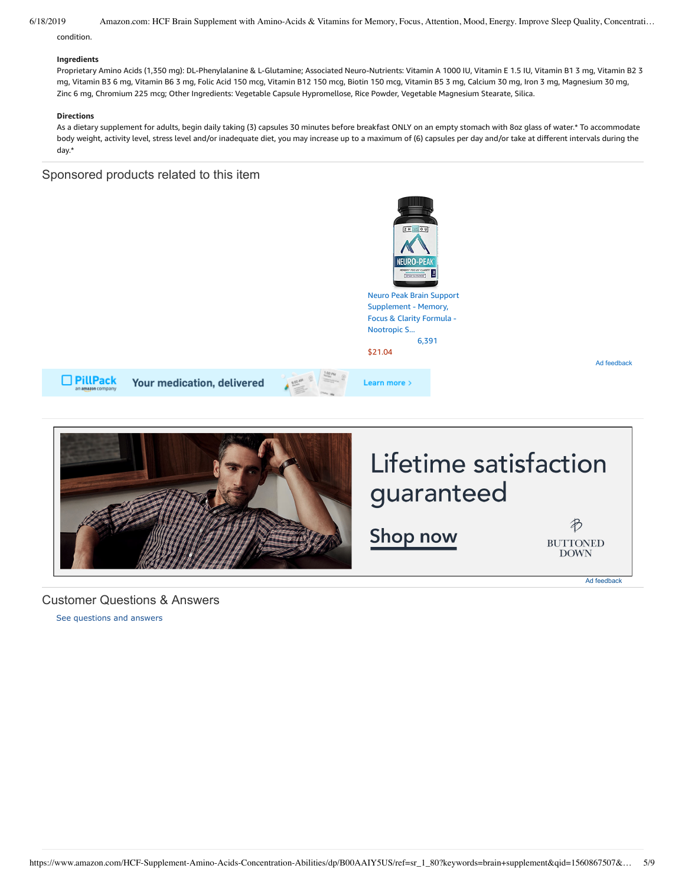condition.

### **Ingredients**

Proprietary Amino Acids (1,350 mg): DL-Phenylalanine & L-Glutamine; Associated Neuro-Nutrients: Vitamin A 1000 IU, Vitamin E 1.5 IU, Vitamin B1 3 mg, Vitamin B2 3 mg, Vitamin B3 6 mg, Vitamin B6 3 mg, Folic Acid 150 mcg, Vitamin B12 150 mcg, Biotin 150 mcg, Vitamin B5 3 mg, Calcium 30 mg, Iron 3 mg, Magnesium 30 mg, Zinc 6 mg, Chromium 225 mcg; Other Ingredients: Vegetable Capsule Hypromellose, Rice Powder, Vegetable Magnesium Stearate, Silica.

### **Directions**

As a dietary supplement for adults, begin daily taking (3) capsules 30 minutes before breakfast ONLY on an empty stomach with 8oz glass of water.\* To accommodate body weight, activity level, stress level and/or inadequate diet, you may increase up to a maximum of (6) capsules per day and/or take at different intervals during the day.\*

### Sponsored products related to this item



### <span id="page-4-1"></span>Customer Questions & Answers

<span id="page-4-0"></span>[See questions and answers](https://www.amazon.com/ask/questions/asin/B00AAIY5US/ref=cm_cd_dp_lla_ql_ll)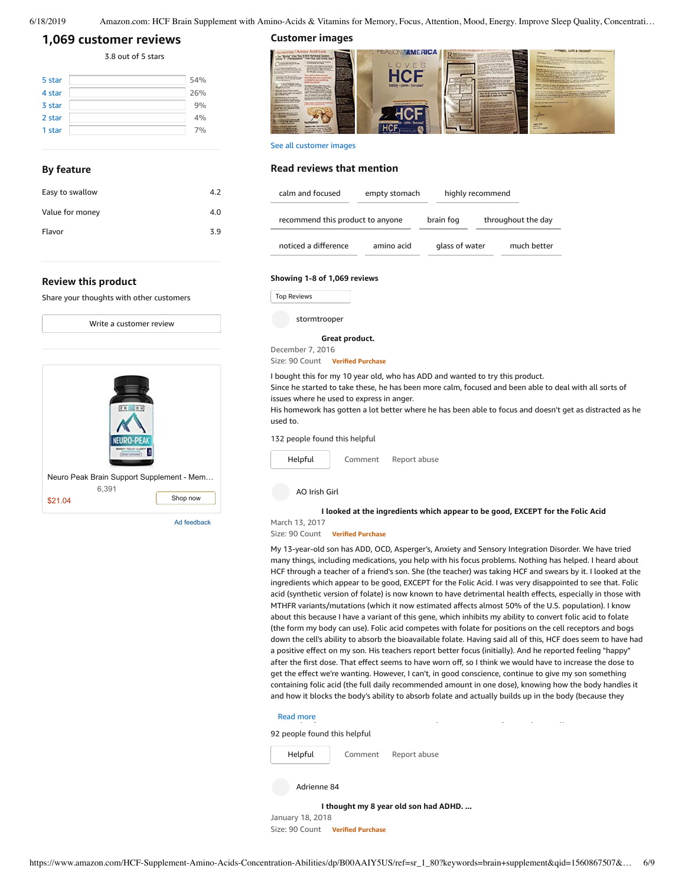```
6/18/2019 Amazon.com: HCF Brain Supplement with Amino-Acids & Vitamins for Memory, Focus, Attention, Mood, Energy. Improve Sleep Quality, Concentrati…
```
### **[1,069 customer](https://www.amazon.com/HCF-Supplement-Amino-Acids-Concentration-Abilities/product-reviews/B00AAIY5US/ref=cm_cr_dp_d_show_all_top?ie=UTF8&reviewerType=all_reviews) reviews**

3.8 out of 5 [stars](javascript:void(0))

| 5 star | 54% |
|--------|-----|
| 4 star | 26% |
| 3 star | 9%  |
| 2 star | 4%  |
| 1 star | 7%  |

### **By feature**

| Easy to swallow | 4.2 |
|-----------------|-----|
| Value for money | 4.0 |
| Flavor          | 3.9 |
|                 |     |

### **Review this product**

Share your thoughts with other customers



Ad feedback

**Customer images**



See all customer images

### **Read reviews that mention**

| calm and focused                 | empty stomach |                | highly recommend   |             |
|----------------------------------|---------------|----------------|--------------------|-------------|
| recommend this product to anyone | brain fog     |                | throughout the day |             |
| noticed a difference             | amino acid    | glass of water |                    | much better |

### **Showing 1-8 of 1,069 reviews**

Top Reviews Top Reviews

stormtrooper

### **Great [product.](https://www.amazon.com/gp/customer-reviews/R2SZ7PRA05LQHN/ref=cm_cr_dp_d_rvw_ttl?ie=UTF8&ASIN=B00AAIY5US)**

December 7, 2016 Size: 90 Count **Verified Purchase**

I bought this for my 10 year old, who has ADD and wanted to try this product.

Since he started to take these, he has been more calm, focused and been able to deal with all sorts of issues where he used to express in anger.

His homework has gotten a lot better where he has been able to focus and doesn't get as distracted as he used to.

### 132 people found this helpful



**I looked at the [ingredients](https://www.amazon.com/gp/customer-reviews/R3IGK56UDP7KVF/ref=cm_cr_dp_d_rvw_ttl?ie=UTF8&ASIN=B00AAIY5US) which appear to be good, EXCEPT for the Folic Acid**

### March 13, 2017

Size: 90 Count **Verified Purchase**

My 13-year-old son has ADD, OCD, Asperger's, Anxiety and Sensory Integration Disorder. We have tried many things, including medications, you help with his focus problems. Nothing has helped. I heard about HCF through a teacher of a friend's son. She (the teacher) was taking HCF and swears by it. I looked at the ingredients which appear to be good, EXCEPT for the Folic Acid. I was very disappointed to see that. Folic acid (synthetic version of folate) is now known to have detrimental health effects, especially in those with MTHFR variants/mutations (which it now estimated affects almost 50% of the U.S. population). I know about this because I have a variant of this gene, which inhibits my ability to convert folic acid to folate (the form my body can use). Folic acid competes with folate for positions on the cell receptors and bogs down the cell's ability to absorb the bioavailable folate. Having said all of this, HCF does seem to have had a positive effect on my son. His teachers report better focus (initially). And he reported feeling "happy" after the first dose. That effect seems to have worn off, so I think we would have to increase the dose to get the effect we're wanting. However, I can't, in good conscience, continue to give my son something containing folic acid (the full daily recommended amount in one dose), knowing how the body handles it and how it blocks the body's ability to absorb folate and actually builds up in the body (because they

### $t$  and more a version of this product with  $\mathcal{S}$  MTHF), I would be a version of this product with  $\mathcal{S}$

92 people found this helpful



January 18, 2018 Size: 90 Count **Verified Purchase**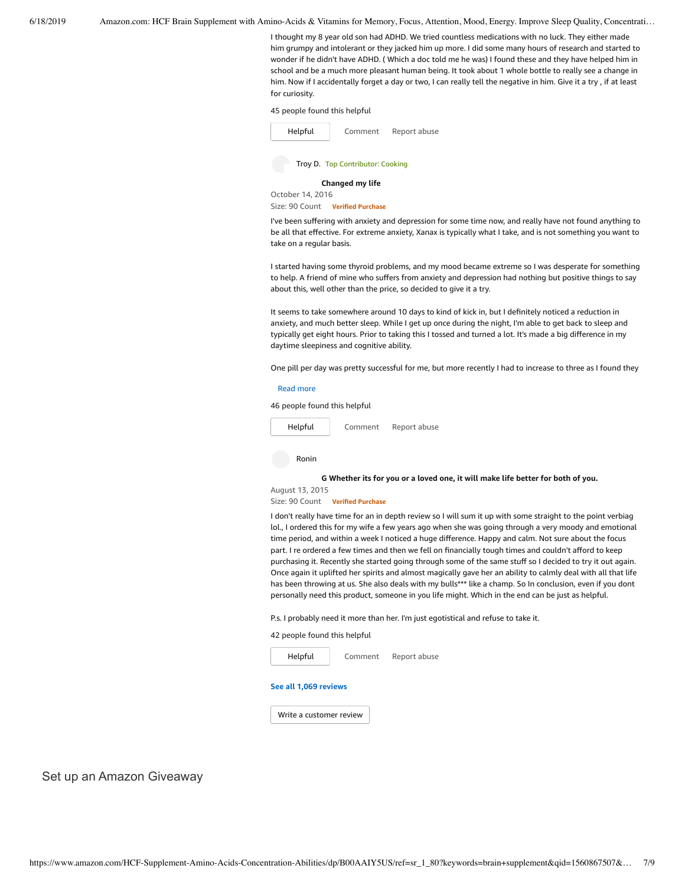I thought my 8 year old son had ADHD. We tried countless medications with no luck. They either made him grumpy and intolerant or they jacked him up more. I did some many hours of research and started to wonder if he didn't have ADHD. ( Which a doc told me he was) I found these and they have helped him in school and be a much more pleasant human being. It took about 1 whole bottle to really see a change in him. Now if I accidentally forget a day or two, I can really tell the negative in him. Give it a try , if at least for curiosity.

### 45 people found this helpful



Troy D. Top Contributor: Cooking

**[Changed](https://www.amazon.com/gp/customer-reviews/R1JQGQ7WYNQX95/ref=cm_cr_dp_d_rvw_ttl?ie=UTF8&ASIN=B00AAIY5US) my life**

October 14, 2016

Size: 90 Count **Verified Purchase**

I've been suffering with anxiety and depression for some time now, and really have not found anything to be all that effective. For extreme anxiety, Xanax is typically what I take, and is not something you want to take on a regular basis.

I started having some thyroid problems, and my mood became extreme so I was desperate for something to help. A friend of mine who suffers from anxiety and depression had nothing but positive things to say about this, well other than the price, so decided to give it a try.

It seems to take somewhere around 10 days to kind of kick in, but I definitely noticed a reduction in anxiety, and much better sleep. While I get up once during the night, I'm able to get back to sleep and typically get eight hours. Prior to taking this I tossed and turned a lot. It's made a big difference in my daytime sleepiness and cognitive ability.

One pill per day was pretty successful for me, but more recently I had to increase to three as I found they

#### Read [more](javascript:void(0))

46 people found this helpful



**G [Whether](https://www.amazon.com/gp/customer-reviews/R2ENP3FRU20T1Z/ref=cm_cr_dp_d_rvw_ttl?ie=UTF8&ASIN=B00AAIY5US) its for you or a loved one, it will make life better for both of you.**

August 13, 2015

Size: 90 Count **Verified Purchase**

I don't really have time for an in depth review so I will sum it up with some straight to the point verbiag lol., I ordered this for my wife a few years ago when she was going through a very moody and emotional time period, and within a week I noticed a huge difference. Happy and calm. Not sure about the focus part. I re ordered a few times and then we fell on financially tough times and couldn't afford to keep purchasing it. Recently she started going through some of the same stuff so I decided to try it out again. Once again it uplifted her spirits and almost magically gave her an ability to calmly deal with all that life has been throwing at us. She also deals with my bulls\*\*\* like a champ. So In conclusion, even if you dont personally need this product, someone in you life might. Which in the end can be just as helpful.

P.s. I probably need it more than her. I'm just egotistical and refuse to take it.

42 people found this helpful



### **See all 1,069 [reviews](https://www.amazon.com/HCF-Supplement-Amino-Acids-Concentration-Abilities/product-reviews/B00AAIY5US/ref=cm_cr_dp_d_show_all_btm?ie=UTF8&reviewerType=all_reviews)**

Write a [customer](https://www.amazon.com/review/create-review/ref=cm_cr_dp_d_wr_but_btm?ie=UTF8&channel=glance-detail&asin=B00AAIY5US) review

Set up an Amazon Giveaway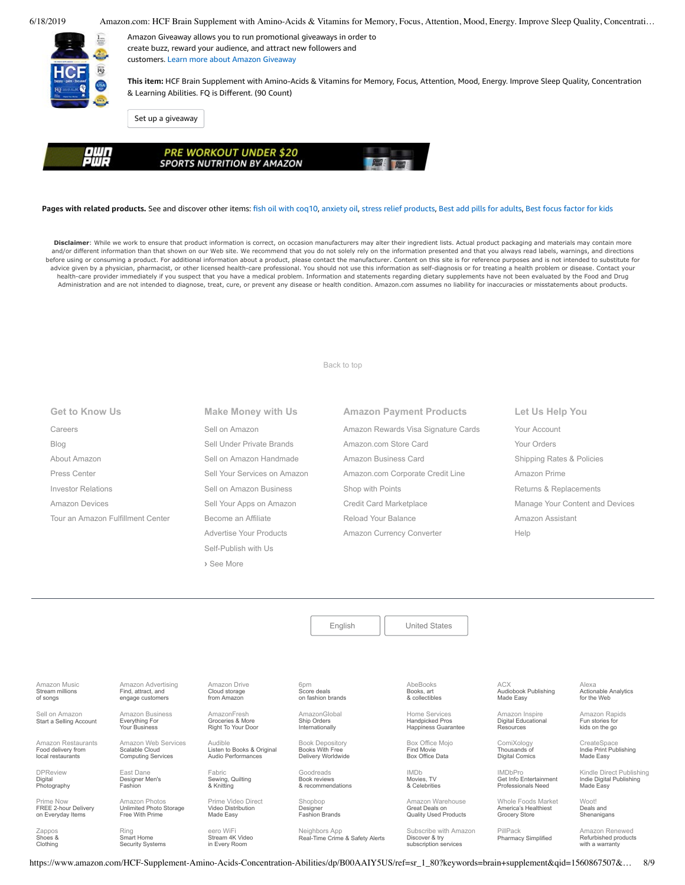

Amazon Giveaway allows you to run promotional giveaways in order to create buzz, reward your audience, and attract new followers and customers. Learn more about Amazon [Giveaway](https://www.amazon.com/gp/giveaway/home?ref=aga_dp_lm)

**This item:** HCF Brain Supplement with Amino-Acids & Vitamins for Memory, Focus, Attention, Mood, Energy. Improve Sleep Quality, Concentration & Learning Abilities. FQ is Different. (90 Count)

Set up a [giveaway](https://www.amazon.com/giveaway/host/setup/ref=aga_h_su_dp?_encoding=UTF8&asin=B00AAIY5US)



| <b>POWER &amp; POWER</b><br><b>SPORTS NUTRITION BY AMAZON</b> |
|---------------------------------------------------------------|
|---------------------------------------------------------------|

### **Pages with related products.** See and discover other items: fish oil with [coq10](https://www.amazon.com/slp/fish-oil-with-coq10/xq8t2vdp34pedfk?_encoding=UTF8&ref_=fs_blw_d_clp_1), [anxiety](https://www.amazon.com/slp/anxiety-oil/oeekohtuuym274j?_encoding=UTF8&ref_=fs_blw_d_clp_2) oil, stress relief [products,](https://www.amazon.com/slp/stress-relief-products/ffbr5wmf6ncu78p?_encoding=UTF8&ref_=fs_blw_d_clp_3) Best add pills for [adults,](https://www.amazon.com/customerpicks/Best-add-pills-for-adults/1a41e5aa7accca9185f3?_encoding=UTF8&ref_=fs_blw_d_customerpicks_4) Best focus [factor](https://www.amazon.com/customerpicks/Best-focus-factor-for-kids/2c4696f2a9a0b7121691?_encoding=UTF8&ref_=fs_blw_d_customerpicks_5) for kids

Disclaimer: While we work to ensure that product information is correct, on occasion manufacturers may alter their ingredient lists. Actual product packaging and materials may contain more and/or different information than that shown on our Web site. We recommend that you do not solely rely on the information presented and that you always read labels, warnings, and directions before using or consuming a product. For additional information about a product, please contact the manufacturer. Content on this site is for reference purposes and is not intended to substitute for advice given by a physician, pharmacist, or other licensed health-care professional. You should not use this information as self-diagnosis or for treating a health problem or disease. Contact your health-care provider immediately if you suspect that you have a medical problem. Information and statements regarding dietary supplements have not been evaluated by the Food and Drug Administration and are not intended to diagnose, treat, cure, or prevent any disease or health condition. Amazon.com assumes no liability for inaccuracies or misstatements about products.

[Back to top](#page-0-0)

|  | <b>Get to Know Us</b> |  |
|--|-----------------------|--|
|  |                       |  |

[Careers](https://www.amazon.jobs/) [Blog](https://blog.aboutamazon.com/?utm_source=gateway&utm_medium=footer) [About Amazon](https://www.aboutamazon.com/?utm_source=gateway&utm_medium=footer) [Press Center](https://www.amazon.com/pr) [Investor Relations](https://www.amazon.com/ir) [Amazon Devices](https://www.amazon.com/amazon-devices/b?ie=UTF8&node=2102313011&ref_=footer_devices) [Tour an Amazon Fulfillment Center](https://www.aboutamazon.com/amazon-fulfillment-center-tours?utm_source=gateway&utm_medium=footer&utm_campaign=fctours) **Make Money with Us** [Sell on Amazon](https://www.amazon.com/gp/redirect.html?_encoding=UTF8&location=https%3A%2F%2Fservices.amazon.com%2Fcontent%2Fsell-on-amazon.htm%2Fref%3Dfooter_soa%3Fld%3DAZFSSOA%26ref_%3Dfooter_soa&source=standards&token=1CC2E60AAEEFD9613C04037E8F5AFD0F4D90DC5B) [Sell Under Private Brands](https://www.amazon.com/l/ref=map_1_b2b_GW_FT?node=17882322011) [Sell on Amazon Handmade](https://www.amazon.com/gp/redirect.html?_encoding=UTF8&location=https%3A%2F%2Fservices.amazon.com%2Fhandmade%2Fhandmade.html%3Fld%3DAZUSHNDFooter%26ref_%3Dfooter_soa&source=standards&token=3B063664DF1F3D449986FD6D04FA7404D76C339B) [Sell Your Services on Amazon](https://www.amazon.com/gp/redirect.html?_encoding=UTF8&location=https%3A%2F%2Fservices.amazon.com%2Fselling-services%2Fbenefits.htm%3Fld%3DAZUSVAS-globalfooter%26ref_%3Dfooter_sell_svcs&source=standards&token=E93858F0E946F93FEAC7F36EFB8E10F5C54CDBFC) [Sell on Amazon Business](https://services.amazon.com/amazon-business.html?ld=usb2bunifooter) [Sell Your Apps on Amazon](https://developer.amazon.com/) [Become an Affiliate](https://affiliate-program.amazon.com/) [Advertise Your Products](https://advertising.amazon.com/?ref=ext_amzn_ftr) Self-Publish with Us **›** [See More](https://www.amazon.com/b/?_encoding=UTF8&ld=AZUSSOA-seemore&node=18190131011&ref_=footer_seemore)

[Amazon Drive](https://www.amazon.com/STRING-subnav_primephotos_amazondrive/b?ie=UTF8&node=15547130011&ref_=us_footer_drive) Cloud storage from Amazon

AmazonFresh Groceries & More [Right To Your Door](https://www.amazon.com/AmazonFresh/b?ie=UTF8&node=10329849011&ref_=footer_aff_fresh)

Fabric [Sewing, Quilting](https://www.fabric.com/) & Knitting

Video Distribution Made Easy

eero WiF [Stream 4K Video](https://eero.com/) in Every Room

[Audible](https://www.audible.com/) Listen to Books & Original Audio Performances

**Amazon Payment Products** [Amazon Rewards Visa Signature Cards](https://www.amazon.com/iss/credit/rewardscardmember?_encoding=UTF8&plattr=CBFOOT&ref_=footer_cbcc) [Amazon.com Store Card](https://www.amazon.com/iss/credit/storecardmember?_encoding=UTF8&plattr=PLCCFOOT&ref_=footer_plcc) [Amazon Business Card](https://www.amazon.com/dp/B07984JN3L?_encoding=UTF8&ie=UTF-8&plattr=ACOMFO) [Amazon.com Corporate Credit Line](https://www.amazon.com/dp/B07CBJQS16?_encoding=UTF8&ie=UTF-8&place=camp&plattr=CCLFOOT&pr=ibprox&ref_=footer_ccl) [Shop with Points](https://www.amazon.com/b?ie=UTF8&node=16218619011&ref_=footer_swp) [Credit Card Marketplace](https://www.amazon.com/compare-credit-card-offers/b?ie=UTF8&node=3561432011&ref_=footer_ccmp) [Reload Your Balance](https://www.amazon.com/Reload-Your-Gift-Card-Balance/b?ie=UTF8&node=10232440011&ref_=footer_reload_us) [Amazon Currency Converter](https://www.amazon.com/Currency-Converter/b?ie=UTF8&node=388305011&ref_=footer_tfx)

**Let Us Help You** [Your Account](https://www.amazon.com/gp/css/homepage.html?ie=UTF8&ref_=footer_ya) [Your Orders](https://www.amazon.com/gp/css/order-history?ie=UTF8&ref_=footer_yo) [Shipping Rates & Policies](https://www.amazon.com/gp/help/customer/display.html?ie=UTF8&nodeId=468520&ref_=footer_shiprates) [Amazon Prime](https://www.amazon.com/gp/prime?ie=UTF8&ref_=footer_prime) [Returns & Replacements](https://www.amazon.com/gp/css/returns/homepage.html?ie=UTF8&ref_=footer_hy_f_4) [Manage Your Content and Devices](https://www.amazon.com/gp/digital/fiona/manage?ie=UTF8&ref_=footer_myk) [Amazon Assistant](https://www.amazon.com/gp/BIT/ref=footer_bit_v2_us_A0029?bitCampaignCode=A0029) [Help](https://www.amazon.com/gp/help/customer/display.html?ie=UTF8&nodeId=508510&ref_=footer_gw_m_b_he)

[English](https://www.amazon.com/gp/customer-preferences/select-language/ref=footer_lang?ie=UTF8&preferencesReturnUrl=%2FHCF-Supplement-Amino-Acids-Concentration-Abilities%2Fdp%2FB00AAIY5US%2Fref%3Dsr_1_80%3Fkeywords%3Dbrain%2Bsupplement%26qid%3D1560867507%26s%3Dgateway%26sr%3D8-80) | [United States](https://www.amazon.com/gp/navigation-country/select-country/ref=?ie=UTF8&preferencesReturnUrl=%2FHCF-Supplement-Amino-Acids-Concentration-Abilities%2Fdp%2FB00AAIY5US%2Fref%3Dsr_1_80%3Fkeywords%3Dbrain%2Bsupplement%26qid%3D1560867507%26s%3Dgateway%26sr%3D8-80)

AbeBooks Books, art [& collectibles](https://www.abebooks.com/)

Home Services Handpicked Pros [Happiness Guarantee](https://www.amazon.com/services?_encoding=UTF8&ref_=footer_services)

[Box Office Mojo](https://www.boxofficemojo.com/?ref_=amzn_nav_ftr) Find Movie Box Office Data

IMDb Movies, TV [& Celebrities](https://www.imdb.com/)

[Amazon Warehouse](https://www.amazon.com/Warehouse-Deals/b?ie=UTF8&node=10158976011&ref_=footer_wrhsdls) Great Deals on Quality Used Products

ACX [Audiobook Publishing](https://www.acx.com/) Made Easy [Amazon Inspire](https://www.amazoninspire.com/?ref=amazon_footer)

Digital Educational Resources

[Whole Foods Market](https://www.wholefoodsmarket.com/) America's Healthiest Grocery Store

[ComiXology](https://www.comixology.com/) Thousands of Digital Comics

IMDbPro [Get Info Entertainment](https://pro.imdb.com/?ref_=amzn_nav_ftr) Professionals Need

PillPack

Alexa [Actionable Analytics](https://www.alexa.com/) for the Web

[Amazon Rapids](https://rapids.amazon.com/?ref=rapids_acq_gatewayfooter) Fun stories for kids on the go

CreateSpace [Indie Print Publishing](https://www.createspace.com/) Made Easy

[Kindle Direct Publishing](https://kdp.amazon.com/) Indie Digital Publishing Made Easy

Woot! Deals and **[Shenanigans](https://www.woot.com/)** 

[Amazon Renewed](https://www.amazon.com/Certified-Refurbished/b?ie=UTF8&node=12653393011&ref_=footer_usrenew) Refurbished products

[Amazon Music](https://music.amazon.com/?ref=dm_aff_amz_com) Stream millions of songs

Sell on Amazon [Start a Selling Account](https://www.amazon.com/gp/redirect.html?_encoding=UTF8&location=https%3A%2F%2Fservices.amazon.com%2Fcontent%2Fsell-on-amazon.htm%3Fld%3DAZUSSOA-footer-aff%26ref%3Dfooter_sell&source=standards&token=9C20DC45C16BB27C88A9F9FF2131288939F17ADB)

[Amazon Restaurants](https://primenow.amazon.com/restaurants?ref_=amzrst_nav_footer) Food delivery from local restaurants

[DPReview](https://www.dpreview.com/) Digital Photography

Prime Now FREE 2-hour Delivery on Everyday Items

[Zappos](https://www.zappos.com/) Shoes & Clothing

[Amazon Advertising](https://advertising.amazon.com/?ref=footer_advtsing_amzn_com) Find, attract, and engage customers [Amazon Business](https://www.amazon.com/business?_encoding=UTF8&ref_=footer_retail_b2b)

Everything For Your Business

[Amazon Web Services](https://aws.amazon.com/what-is-cloud-computing/?sc_channel=EL&sc_campaign=amazonfooter) Scalable Cloud Computing Services

East Dane [Designer Men's](https://www.eastdane.com/welcome) Fashion

Amazon Photos [Unlimited Photo Storage](https://www.amazon.com/STRING-subnav-prime-photos/b?ie=UTF8&node=13234696011&ref_=gno_p_foot) Free With Prime

Ring Smart Home

[Security Systems](https://ring.com/)

6pm Score deals [on fashion brands](https://www.6pm.com/) [AmazonGlobal](https://www.amazon.com/International-Shipping-Direct/b?ie=UTF8&node=230659011&ref_=footer_amazonglobal)

> Ship Orders Internationally

[Book Depository](https://www.bookdepository.com/) Books With Free Delivery Worldwide

Goodreads Book reviews [& recommendations](https://www.goodreads.com/)

[Prime Video Direct](https://videodirect.amazon.com/home/landing) Shopbop Designer [Fashion Brands](https://www.shopbop.com/welcome)

Neighbors App<br>Real-Time Crime & Safety Alerts

[Subscribe with Amazon](https://www.amazon.com/b?ie=UTF8&node=14498690011&ref_=amzn_nav_ftr_swa)

Discover & try subscription services [Pharmacy Simplified](https://www.pillpack.com/)

with a warranty

https://www.amazon.com/HCF-Supplement-Amino-Acids-Concentration-Abilities/dp/B00AAIY5US/ref=sr\_1\_80?keywords=brain+supplement&qid=1560867507&… 8/9